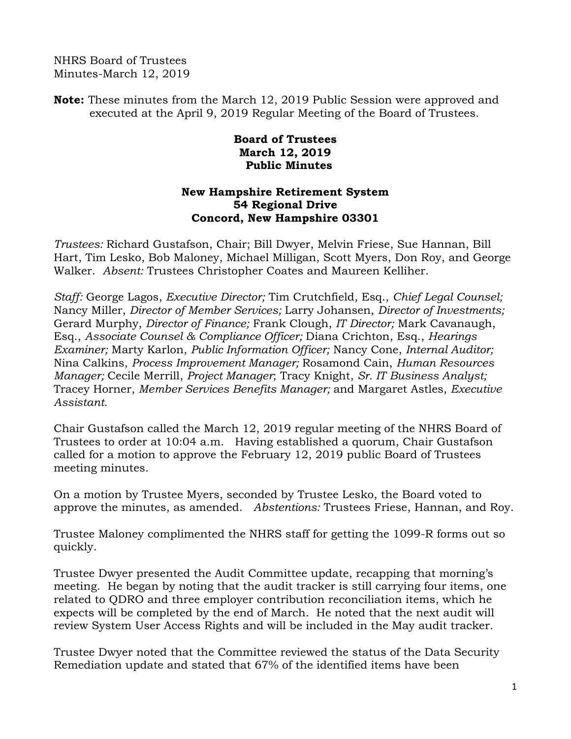NHRS Board of Trustees Minutes-March 12, 2019

**Note:** These minutes from the March 12, 2019 Public Session were approved and executed at the April 9, 2019 Regular Meeting of the Board of Trustees.

## **Board of Trustees March 12, 2019 Public Minutes**

## **New Hampshire Retirement System 54 Regional Drive Concord, New Hampshire 03301**

*Trustees:* Richard Gustafson, Chair; Bill Dwyer, Melvin Friese, Sue Hannan, Bill Hart, Tim Lesko, Bob Maloney, Michael Milligan, Scott Myers, Don Roy, and George Walker. *Absent:* Trustees Christopher Coates and Maureen Kelliher.

*Staff:* George Lagos, *Executive Director;* Tim Crutchfield, Esq., *Chief Legal Counsel;* Nancy Miller, *Director of Member Services;* Larry Johansen, *Director of Investments;* Gerard Murphy, *Director of Finance;* Frank Clough, *IT Director;* Mark Cavanaugh, Esq., *Associate Counsel & Compliance Officer;* Diana Crichton, Esq., *Hearings Examiner;* Marty Karlon, *Public Information Officer;* Nancy Cone, *Internal Auditor;* Nina Calkins, *Process Improvement Manager;* Rosamond Cain, *Human Resources Manager;* Cecile Merrill, *Project Manager*; Tracy Knight, *Sr. IT Business Analyst;* Tracey Horner, *Member Services Benefits Manager;* and Margaret Astles, *Executive Assistant.* 

Chair Gustafson called the March 12, 2019 regular meeting of the NHRS Board of Trustees to order at 10:04 a.m. Having established a quorum, Chair Gustafson called for a motion to approve the February 12, 2019 public Board of Trustees meeting minutes.

On a motion by Trustee Myers, seconded by Trustee Lesko, the Board voted to approve the minutes, as amended. *Abstentions:* Trustees Friese, Hannan, and Roy.

Trustee Maloney complimented the NHRS staff for getting the 1099-R forms out so quickly.

Trustee Dwyer presented the Audit Committee update, recapping that morning's meeting. He began by noting that the audit tracker is still carrying four items, one related to QDRO and three employer contribution reconciliation items, which he expects will be completed by the end of March. He noted that the next audit will review System User Access Rights and will be included in the May audit tracker.

Trustee Dwyer noted that the Committee reviewed the status of the Data Security Remediation update and stated that 67% of the identified items have been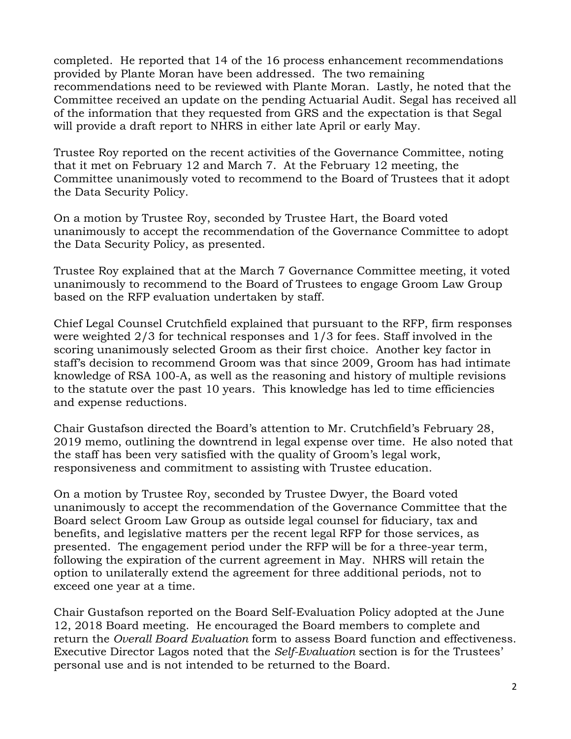completed. He reported that 14 of the 16 process enhancement recommendations provided by Plante Moran have been addressed. The two remaining recommendations need to be reviewed with Plante Moran. Lastly, he noted that the Committee received an update on the pending Actuarial Audit. Segal has received all of the information that they requested from GRS and the expectation is that Segal will provide a draft report to NHRS in either late April or early May.

Trustee Roy reported on the recent activities of the Governance Committee, noting that it met on February 12 and March 7. At the February 12 meeting, the Committee unanimously voted to recommend to the Board of Trustees that it adopt the Data Security Policy.

On a motion by Trustee Roy, seconded by Trustee Hart, the Board voted unanimously to accept the recommendation of the Governance Committee to adopt the Data Security Policy, as presented.

Trustee Roy explained that at the March 7 Governance Committee meeting, it voted unanimously to recommend to the Board of Trustees to engage Groom Law Group based on the RFP evaluation undertaken by staff.

Chief Legal Counsel Crutchfield explained that pursuant to the RFP, firm responses were weighted 2/3 for technical responses and 1/3 for fees. Staff involved in the scoring unanimously selected Groom as their first choice. Another key factor in staff's decision to recommend Groom was that since 2009, Groom has had intimate knowledge of RSA 100-A, as well as the reasoning and history of multiple revisions to the statute over the past 10 years. This knowledge has led to time efficiencies and expense reductions.

Chair Gustafson directed the Board's attention to Mr. Crutchfield's February 28, 2019 memo, outlining the downtrend in legal expense over time. He also noted that the staff has been very satisfied with the quality of Groom's legal work, responsiveness and commitment to assisting with Trustee education.

On a motion by Trustee Roy, seconded by Trustee Dwyer, the Board voted unanimously to accept the recommendation of the Governance Committee that the Board select Groom Law Group as outside legal counsel for fiduciary, tax and benefits, and legislative matters per the recent legal RFP for those services, as presented. The engagement period under the RFP will be for a three-year term, following the expiration of the current agreement in May. NHRS will retain the option to unilaterally extend the agreement for three additional periods, not to exceed one year at a time.

Chair Gustafson reported on the Board Self-Evaluation Policy adopted at the June 12, 2018 Board meeting. He encouraged the Board members to complete and return the *Overall Board Evaluation* form to assess Board function and effectiveness. Executive Director Lagos noted that the *Self-Evaluation* section is for the Trustees' personal use and is not intended to be returned to the Board.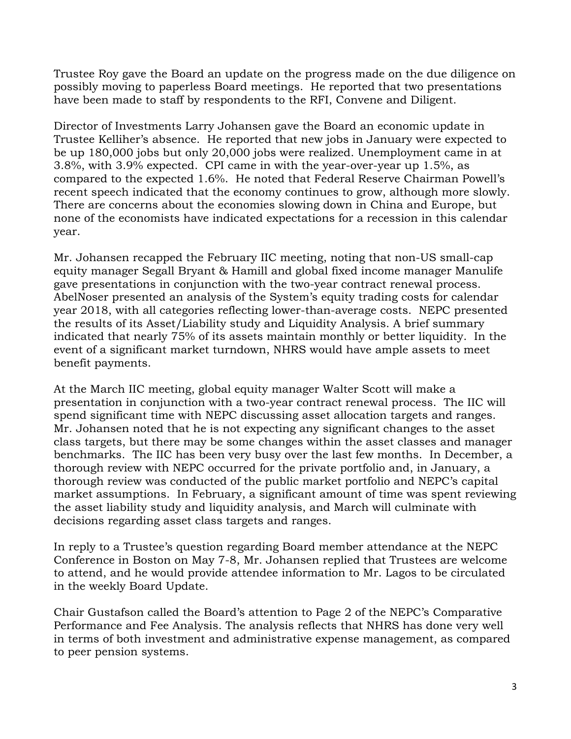Trustee Roy gave the Board an update on the progress made on the due diligence on possibly moving to paperless Board meetings. He reported that two presentations have been made to staff by respondents to the RFI, Convene and Diligent.

Director of Investments Larry Johansen gave the Board an economic update in Trustee Kelliher's absence. He reported that new jobs in January were expected to be up 180,000 jobs but only 20,000 jobs were realized. Unemployment came in at 3.8%, with 3.9% expected. CPI came in with the year-over-year up 1.5%, as compared to the expected 1.6%. He noted that Federal Reserve Chairman Powell's recent speech indicated that the economy continues to grow, although more slowly. There are concerns about the economies slowing down in China and Europe, but none of the economists have indicated expectations for a recession in this calendar year.

Mr. Johansen recapped the February IIC meeting, noting that non-US small-cap equity manager Segall Bryant & Hamill and global fixed income manager Manulife gave presentations in conjunction with the two-year contract renewal process. AbelNoser presented an analysis of the System's equity trading costs for calendar year 2018, with all categories reflecting lower-than-average costs. NEPC presented the results of its Asset/Liability study and Liquidity Analysis. A brief summary indicated that nearly 75% of its assets maintain monthly or better liquidity. In the event of a significant market turndown, NHRS would have ample assets to meet benefit payments.

At the March IIC meeting, global equity manager Walter Scott will make a presentation in conjunction with a two-year contract renewal process. The IIC will spend significant time with NEPC discussing asset allocation targets and ranges. Mr. Johansen noted that he is not expecting any significant changes to the asset class targets, but there may be some changes within the asset classes and manager benchmarks. The IIC has been very busy over the last few months. In December, a thorough review with NEPC occurred for the private portfolio and, in January, a thorough review was conducted of the public market portfolio and NEPC's capital market assumptions. In February, a significant amount of time was spent reviewing the asset liability study and liquidity analysis, and March will culminate with decisions regarding asset class targets and ranges.

In reply to a Trustee's question regarding Board member attendance at the NEPC Conference in Boston on May 7-8, Mr. Johansen replied that Trustees are welcome to attend, and he would provide attendee information to Mr. Lagos to be circulated in the weekly Board Update.

Chair Gustafson called the Board's attention to Page 2 of the NEPC's Comparative Performance and Fee Analysis. The analysis reflects that NHRS has done very well in terms of both investment and administrative expense management, as compared to peer pension systems.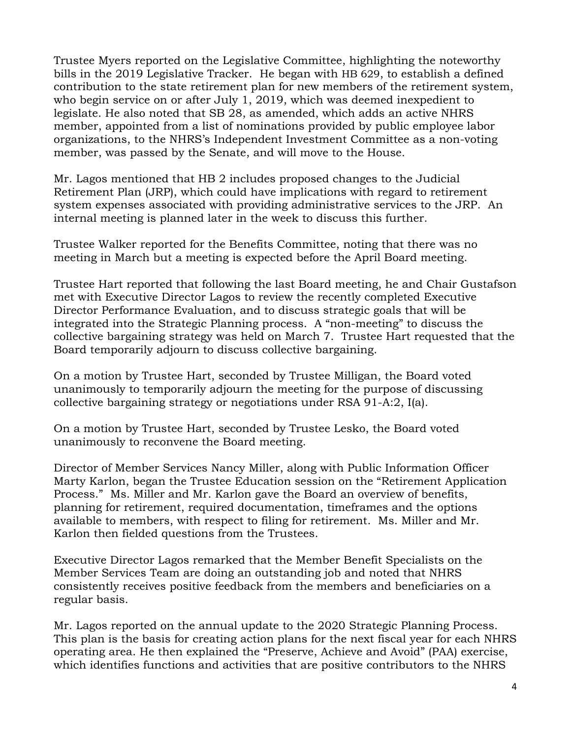Trustee Myers reported on the Legislative Committee, highlighting the noteworthy bills in the 2019 Legislative Tracker. He began with HB 629, to establish a defined contribution to the state retirement plan for new members of the retirement system, who begin service on or after July 1, 2019, which was deemed inexpedient to legislate. He also noted that SB 28, as amended, which adds an active NHRS member, appointed from a list of nominations provided by public employee labor organizations, to the NHRS's Independent Investment Committee as a non-voting member, was passed by the Senate, and will move to the House.

Mr. Lagos mentioned that HB 2 includes proposed changes to the Judicial Retirement Plan (JRP), which could have implications with regard to retirement system expenses associated with providing administrative services to the JRP. An internal meeting is planned later in the week to discuss this further.

Trustee Walker reported for the Benefits Committee, noting that there was no meeting in March but a meeting is expected before the April Board meeting.

Trustee Hart reported that following the last Board meeting, he and Chair Gustafson met with Executive Director Lagos to review the recently completed Executive Director Performance Evaluation, and to discuss strategic goals that will be integrated into the Strategic Planning process. A "non-meeting" to discuss the collective bargaining strategy was held on March 7. Trustee Hart requested that the Board temporarily adjourn to discuss collective bargaining.

On a motion by Trustee Hart, seconded by Trustee Milligan, the Board voted unanimously to temporarily adjourn the meeting for the purpose of discussing collective bargaining strategy or negotiations under RSA 91-A:2, I(a).

On a motion by Trustee Hart, seconded by Trustee Lesko, the Board voted unanimously to reconvene the Board meeting.

Director of Member Services Nancy Miller, along with Public Information Officer Marty Karlon, began the Trustee Education session on the "Retirement Application Process." Ms. Miller and Mr. Karlon gave the Board an overview of benefits, planning for retirement, required documentation, timeframes and the options available to members, with respect to filing for retirement. Ms. Miller and Mr. Karlon then fielded questions from the Trustees.

Executive Director Lagos remarked that the Member Benefit Specialists on the Member Services Team are doing an outstanding job and noted that NHRS consistently receives positive feedback from the members and beneficiaries on a regular basis.

Mr. Lagos reported on the annual update to the 2020 Strategic Planning Process. This plan is the basis for creating action plans for the next fiscal year for each NHRS operating area. He then explained the "Preserve, Achieve and Avoid" (PAA) exercise, which identifies functions and activities that are positive contributors to the NHRS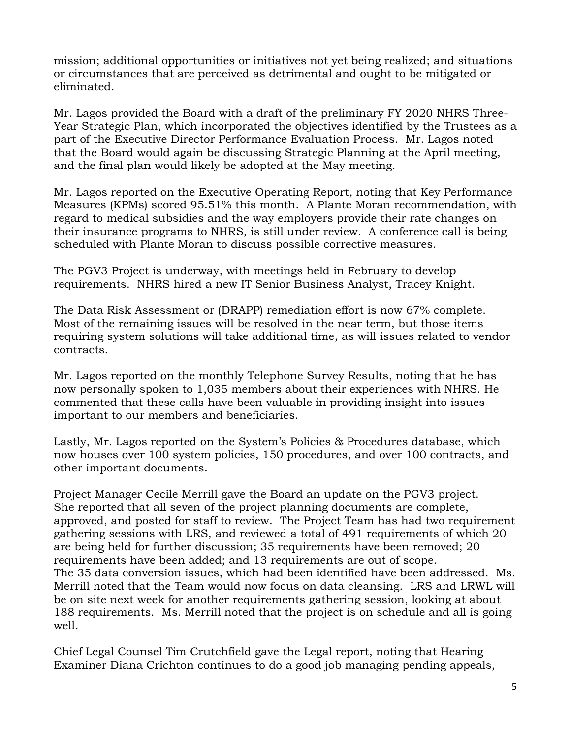mission; additional opportunities or initiatives not yet being realized; and situations or circumstances that are perceived as detrimental and ought to be mitigated or eliminated.

Mr. Lagos provided the Board with a draft of the preliminary FY 2020 NHRS Three-Year Strategic Plan, which incorporated the objectives identified by the Trustees as a part of the Executive Director Performance Evaluation Process. Mr. Lagos noted that the Board would again be discussing Strategic Planning at the April meeting, and the final plan would likely be adopted at the May meeting.

Mr. Lagos reported on the Executive Operating Report, noting that Key Performance Measures (KPMs) scored 95.51% this month. A Plante Moran recommendation, with regard to medical subsidies and the way employers provide their rate changes on their insurance programs to NHRS, is still under review. A conference call is being scheduled with Plante Moran to discuss possible corrective measures.

The PGV3 Project is underway, with meetings held in February to develop requirements. NHRS hired a new IT Senior Business Analyst, Tracey Knight.

The Data Risk Assessment or (DRAPP) remediation effort is now 67% complete. Most of the remaining issues will be resolved in the near term, but those items requiring system solutions will take additional time, as will issues related to vendor contracts.

Mr. Lagos reported on the monthly Telephone Survey Results, noting that he has now personally spoken to 1,035 members about their experiences with NHRS. He commented that these calls have been valuable in providing insight into issues important to our members and beneficiaries.

Lastly, Mr. Lagos reported on the System's Policies & Procedures database, which now houses over 100 system policies, 150 procedures, and over 100 contracts, and other important documents.

Project Manager Cecile Merrill gave the Board an update on the PGV3 project. She reported that all seven of the project planning documents are complete, approved, and posted for staff to review. The Project Team has had two requirement gathering sessions with LRS, and reviewed a total of 491 requirements of which 20 are being held for further discussion; 35 requirements have been removed; 20 requirements have been added; and 13 requirements are out of scope. The 35 data conversion issues, which had been identified have been addressed. Ms. Merrill noted that the Team would now focus on data cleansing. LRS and LRWL will be on site next week for another requirements gathering session, looking at about 188 requirements. Ms. Merrill noted that the project is on schedule and all is going well.

Chief Legal Counsel Tim Crutchfield gave the Legal report, noting that Hearing Examiner Diana Crichton continues to do a good job managing pending appeals,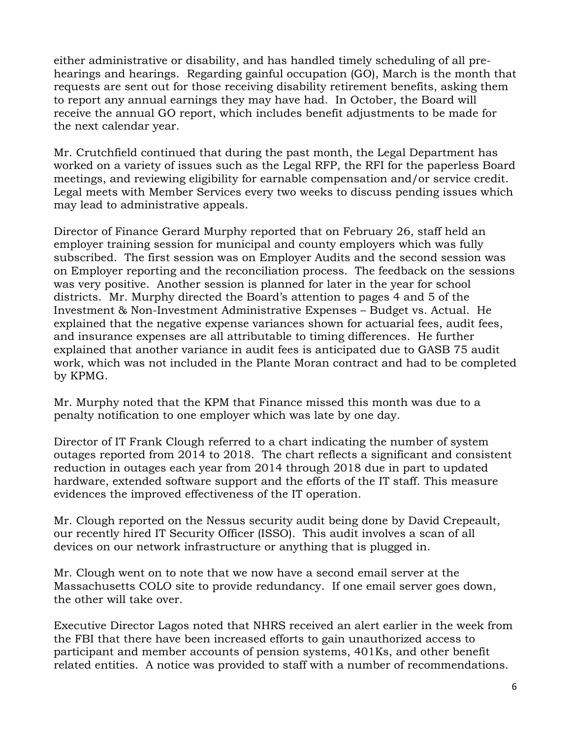either administrative or disability, and has handled timely scheduling of all prehearings and hearings. Regarding gainful occupation (GO), March is the month that requests are sent out for those receiving disability retirement benefits, asking them to report any annual earnings they may have had. In October, the Board will receive the annual GO report, which includes benefit adjustments to be made for the next calendar year.

Mr. Crutchfield continued that during the past month, the Legal Department has worked on a variety of issues such as the Legal RFP, the RFI for the paperless Board meetings, and reviewing eligibility for earnable compensation and/or service credit. Legal meets with Member Services every two weeks to discuss pending issues which may lead to administrative appeals.

Director of Finance Gerard Murphy reported that on February 26, staff held an employer training session for municipal and county employers which was fully subscribed. The first session was on Employer Audits and the second session was on Employer reporting and the reconciliation process. The feedback on the sessions was very positive. Another session is planned for later in the year for school districts. Mr. Murphy directed the Board's attention to pages 4 and 5 of the Investment & Non-Investment Administrative Expenses – Budget vs. Actual. He explained that the negative expense variances shown for actuarial fees, audit fees, and insurance expenses are all attributable to timing differences. He further explained that another variance in audit fees is anticipated due to GASB 75 audit work, which was not included in the Plante Moran contract and had to be completed by KPMG.

Mr. Murphy noted that the KPM that Finance missed this month was due to a penalty notification to one employer which was late by one day.

Director of IT Frank Clough referred to a chart indicating the number of system outages reported from 2014 to 2018. The chart reflects a significant and consistent reduction in outages each year from 2014 through 2018 due in part to updated hardware, extended software support and the efforts of the IT staff. This measure evidences the improved effectiveness of the IT operation.

Mr. Clough reported on the Nessus security audit being done by David Crepeault, our recently hired IT Security Officer (ISSO). This audit involves a scan of all devices on our network infrastructure or anything that is plugged in.

Mr. Clough went on to note that we now have a second email server at the Massachusetts COLO site to provide redundancy. If one email server goes down, the other will take over.

Executive Director Lagos noted that NHRS received an alert earlier in the week from the FBI that there have been increased efforts to gain unauthorized access to participant and member accounts of pension systems, 401Ks, and other benefit related entities. A notice was provided to staff with a number of recommendations.